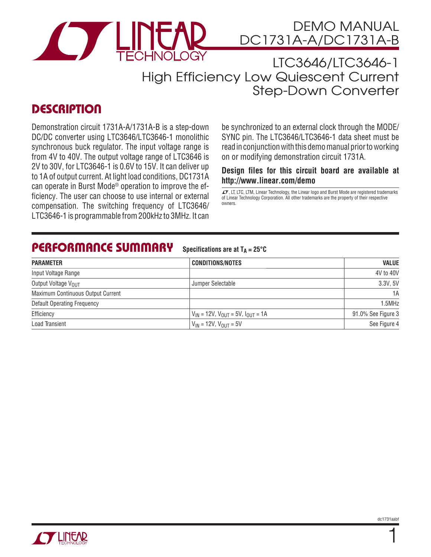

LTC3646/LTC3646-1 High Efficiency Low Quiescent Current Step-Down Converter

# **DESCRIPTION**

Demonstration circuit 1731A-A/1731A-B is a step-down DC/DC converter using LTC3646/LTC3646-1 monolithic synchronous buck regulator. The input voltage range is from 4V to 40V. The output voltage range of LTC3646 is 2V to 30V, for LTC3646-1 is 0.6V to 15V. It can deliver up to 1A of output current. At light load conditions, DC1731A can operate in Burst Mode® operation to improve the efficiency. The user can choose to use internal or external compensation. The switching frequency of LTC3646/ LTC3646-1 is programmable from 200kHz to 3MHz. It can be synchronized to an external clock through the MODE/ SYNC pin. The LTC3646/LTC3646-1 data sheet must be read in conjunction with this demo manual prior to working on or modifying demonstration circuit 1731A.

### **Design files for this circuit board are available at http://www.linear.com/demo**

 $I$ , LT, LTC, LTM, Linear Technology, the Linear logo and Burst Mode are registered trademarks of Linear Technology Corporation. All other trademarks are the property of their respective owners.

# **PERFORMANCE SUMMARY**

**Specifications are at**  $T_A = 25^\circ C$ 

| <b>PARAMETER</b>                   | <b>CONDITIONS/NOTES</b>                        | <b>VALUE</b>       |
|------------------------------------|------------------------------------------------|--------------------|
| Input Voltage Range                |                                                | 4V to 40V          |
| Output Voltage VOUT                | Jumper Selectable                              | 3.3V, 5V           |
| Maximum Continuous Output Current  |                                                | 1A                 |
| <b>Default Operating Frequency</b> |                                                | 1.5MHz             |
| Efficiency                         | $V_{IN}$ = 12V, $V_{OUT}$ = 5V, $I_{OUT}$ = 1A | 91.0% See Figure 3 |
| Load Transient                     | $V_{IN}$ = 12V, $V_{OUIT}$ = 5V                | See Figure 4       |



1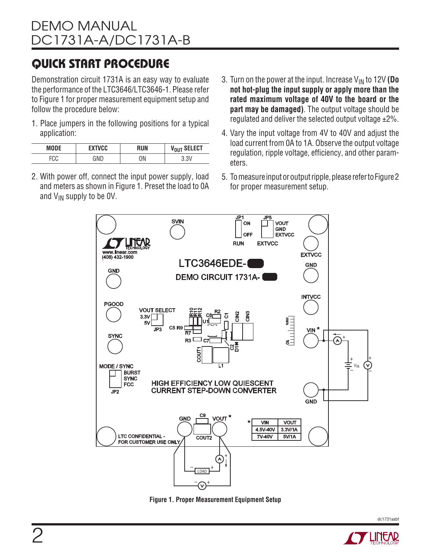# **QUICK START PROCEDURE**

Demonstration circuit 1731A is an easy way to evaluate the performance of the LTC3646/LTC3646-1. Please refer to Figure 1 for proper measurement equipment setup and follow the procedure below:

1. Place jumpers in the following positions for a typical application:

| <b>MODE</b> | EXTVCC | RUN | V <sub>OUT</sub> SELECT |
|-------------|--------|-----|-------------------------|
| ロハハ<br>ั∪∪  | GND    | ΟN  |                         |

- 2. With power off, connect the input power supply, load and meters as shown in Figure 1. Preset the load to 0A and  $V_{IN}$  supply to be OV.
- 3. Turn on the power at the input. Increase  $V_{IN}$  to 12V (Do **not hot-plug the input supply or apply more than the rated maximum voltage of 40V to the board or the part may be damaged)**. The output voltage should be regulated and deliver the selected output voltage ±2%.
- 4. Vary the input voltage from 4V to 40V and adjust the load current from 0A to 1A. Observe the output voltage regulation, ripple voltage, efficiency, and other parameters.
- 5. To measure input or output ripple, please refer to Figure 2 for proper measurement setup.



**Figure 1. Proper Measurement Equipment Setup**

dc1731aabf

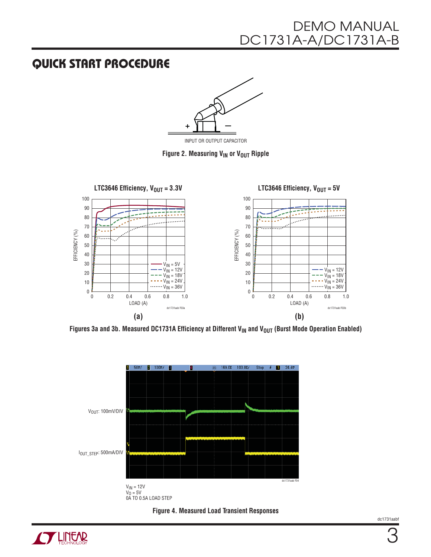# DEMO MANUAL DC1731A-A/DC1731A-B

### **QUICK START PROCEDURE**



INPUT OR OUTPUT CAPACITOR

**Figure 2. Measuring V<sub>IN</sub> or V<sub>OUT</sub> Ripple** 



Figures 3a and 3b. Measured DC1731A Efficiency at Different V<sub>IN</sub> and V<sub>OUT</sub> (Burst Mode Operation Enabled)





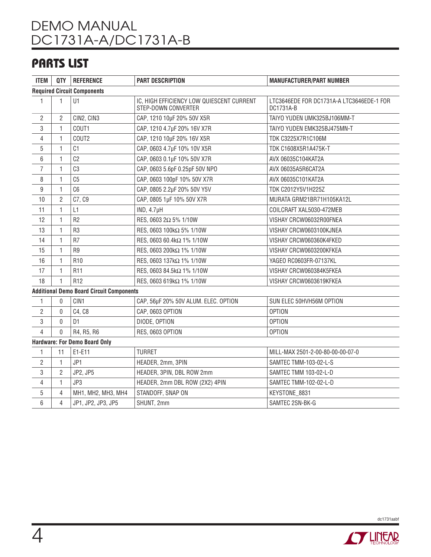# DEMO MANUAL DC1731A-A/DC1731A-B

# **PARTS LIST**

| <b>ITEM</b>                                     | QTY            | <b>REFERENCE</b>   | <b>PART DESCRIPTION</b>                                          | <b>MANUFACTURER/PART NUMBER</b>                        |  |
|-------------------------------------------------|----------------|--------------------|------------------------------------------------------------------|--------------------------------------------------------|--|
| <b>Required Circuit Components</b>              |                |                    |                                                                  |                                                        |  |
| 1                                               | 1              | U1                 | IC, HIGH EFFICIENCY LOW QUIESCENT CURRENT<br>STEP-DOWN CONVERTER | LTC3646EDE FOR DC1731A-A LTC3646EDE-1 FOR<br>DC1731A-B |  |
| $\overline{2}$                                  | $\overline{2}$ | CIN2, CIN3         | CAP, 1210 10µF 20% 50V X5R                                       | TAIYO YUDEN UMK325BJ106MM-T                            |  |
| 3                                               | 1              | COUT1              | CAP, 1210 4.7µF 20% 16V X7R                                      | TAIYO YUDEN EMK325BJ475MN-T                            |  |
| 4                                               | 1              | COUT <sub>2</sub>  | CAP, 1210 10µF 20% 16V X5R                                       | TDK C3225X7R1C106M                                     |  |
| 5                                               | 1              | C1                 | CAP, 0603 4.7µF 10% 10V X5R                                      | TDK C1608X5R1A475K-T                                   |  |
| 6                                               | 1              | C <sub>2</sub>     | CAP, 0603 0.1µF 10% 50V X7R                                      | AVX 06035C104KAT2A                                     |  |
| 7                                               | 1              | C3                 | CAP, 0603 5.6pF 0.25pF 50V NPO                                   | AVX 06035A5R6CAT2A                                     |  |
| 8                                               | 1              | C <sub>5</sub>     | CAP, 0603 100pF 10% 50V X7R                                      | AVX 06035C101KAT2A                                     |  |
| 9                                               | 1              | C6                 | CAP, 0805 2.2µF 20% 50V Y5V                                      | TDK C2012Y5V1H225Z                                     |  |
| 10                                              | $\overline{2}$ | C7, C9             | CAP, 0805 1µF 10% 50V X7R                                        | MURATA GRM21BR71H105KA12L                              |  |
| 11                                              | 1              | L1                 | IND, 4.7 <sub>µ</sub> H                                          | COILCRAFT XAL5030-472MEB                               |  |
| 12                                              | 1              | R <sub>2</sub>     | RES, 0603 2Ω 5% 1/10W                                            | VISHAY CRCW06032R00FNEA                                |  |
| 13                                              | 1              | R <sub>3</sub>     | RES, 0603 100kΩ 5% 1/10W                                         | VISHAY CRCW0603100KJNEA                                |  |
| 14                                              | 1              | R <sub>7</sub>     | RES, 0603 60.4kΩ 1% 1/10W                                        | VISHAY CRCW060360K4FKED                                |  |
| 15                                              | 1.             | R <sub>9</sub>     | RES, 0603 200kΩ 1% 1/10W                                         | VISHAY CRCW0603200KFKEA                                |  |
| 16                                              | 1              | R <sub>10</sub>    | RES, 0603 137kΩ 1% 1/10W                                         | YAGEO RC0603FR-07137KL                                 |  |
| 17                                              | 1              | R <sub>11</sub>    | RES, 0603 84.5kΩ 1% 1/10W                                        | VISHAY CRCW060384K5FKEA                                |  |
| 18                                              | 1              | R <sub>12</sub>    | RES, 0603 619kΩ 1% 1/10W                                         | VISHAY CRCW0603619KFKEA                                |  |
| <b>Additional Demo Board Circuit Components</b> |                |                    |                                                                  |                                                        |  |
| 1                                               | 0              | CIN1               | CAP, 56µF 20% 50V ALUM. ELEC. OPTION                             | SUN ELEC 50HVH56M OPTION                               |  |
| $\overline{2}$                                  | 0              | C4, C8             | CAP, 0603 OPTION                                                 | <b>OPTION</b>                                          |  |
| 3                                               | 0              | D <sub>1</sub>     | DIODE, OPTION                                                    | <b>OPTION</b>                                          |  |
| 4                                               | $\overline{0}$ | R4, R5, R6         | RES, 0603 OPTION                                                 | <b>OPTION</b>                                          |  |
| <b>Hardware: For Demo Board Only</b>            |                |                    |                                                                  |                                                        |  |
| 1                                               | 11             | E1-E11             | <b>TURRET</b>                                                    | MILL-MAX 2501-2-00-80-00-00-07-0                       |  |
| $\overline{2}$                                  | 1              | JP1                | HEADER, 2mm, 3PIN                                                | SAMTEC TMM-103-02-L-S                                  |  |
| 3                                               | $\overline{2}$ | JP2, JP5           | HEADER, 3PIN, DBL ROW 2mm                                        | SAMTEC TMM 103-02-L-D                                  |  |
| 4                                               | 1              | JP3                | HEADER, 2mm DBL ROW (2X2) 4PIN                                   | SAMTEC TMM-102-02-L-D                                  |  |
| 5                                               | $\overline{4}$ | MH1, MH2, MH3, MH4 | STANDOFF, SNAP ON                                                | KEYSTONE_8831                                          |  |
| 6                                               | 4              | JP1, JP2, JP3, JP5 | SHUNT, 2mm                                                       | SAMTEC 2SN-BK-G                                        |  |



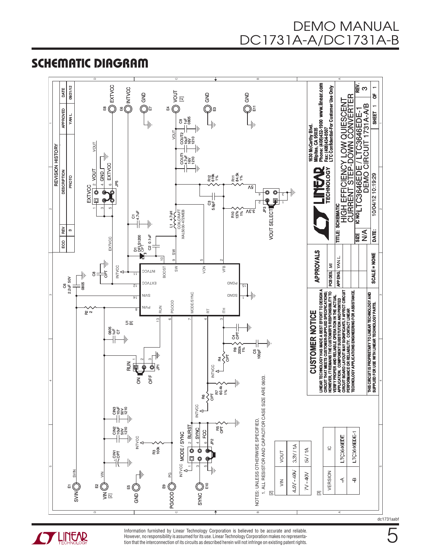**SCHEMATIC DIAGRAM** 



**CYLINEAR** 

Information furnished by Linear Technology Corporation is believed to be accurate and reliable. However, no responsibility is assumed for its use. Linear Technology Corporation makes no representation that the interconnection of its circuits as described herein will not infringe on existing patent rights. dc1731aabt

5